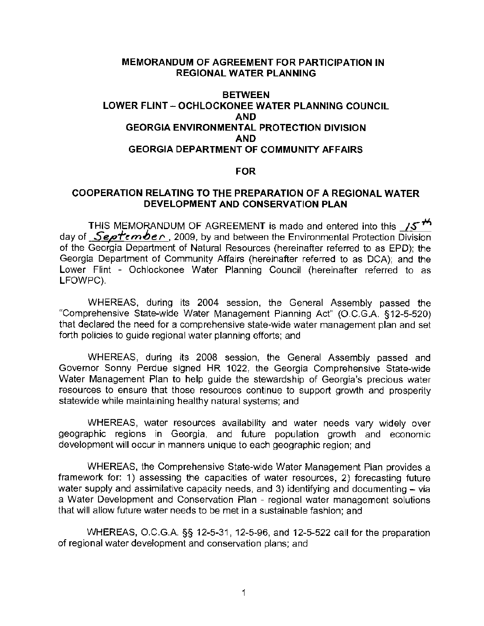#### **MEMORANDUM OF AGREEMENT FOR PARTICIPATION IN REGIONAL WATER PLANNING**

### **BETWEEN LOWER FLINT** - **OCHLOCKONEE WATER PLANNING COUNCIL AND GEORGIA ENVIRONMENTAL PROTECTION DIVISION AND GEORGIA DEPARTMENT OF COMMUNITY AFFAIRS**

#### **FOR**

### **COOPERATION RELATING TO THE PREPARATION OF A REGIONAL WATER DEVELOPMENT AND CONSERVATION PLAN**

THIS MEMORANDUM OF AGREEMENT is made and entered into this **/5<sup>th</sup>** day of *September*, 2009, by and between the Environmental Protection Division of the Georgia Department of Natural Resources (hereinafter referred to as EPD); the Georgia Department of Community Affairs (hereinafter referred to as DCA); and the Lower Flint - Ochlockonee Water Planning Council (hereinafter referred to as LFOWPC).

WHEREAS, during its 2004 session, the General Assembly passed the "Comprehensive State-wide Water Management Planning Act" (0.C.G.A. §12-5-520) that declared the need for a comprehensive state-wide water management plan and set forth policies to guide regional water planning efforts; and

WHEREAS, during its 2008 session, the General Assembly passed and Governor Sonny Perdue signed HR 1022, the Georgia Comprehensive State-wide Water Management Plan to help guide the stewardship of Georgia's precious water resources to ensure that those resources continue to support growth and prosperity statewide while maintaining healthy natural systems; and

WHEREAS, water resources availability and water needs vary widely over geographic regions in Georgia, and future population growth and economic development will occur in manners unique to each geographic region; and

WHEREAS, the Comprehensive State-wide Water Management Plan provides a framework for: 1) assessing the capacities of water resources, 2) forecasting future water supply and assimilative capacity needs, and 3) identifying and documenting  $-$  via a Water Development and Conservation Plan - regional water management solutions that will allow future water needs to be met in a sustainable fashion; and

WHEREAS, O.C.G.A. §§ 12-5-31, 12-5-96, and 12-5-522 call for the preparation of regional water development and conservation plans; and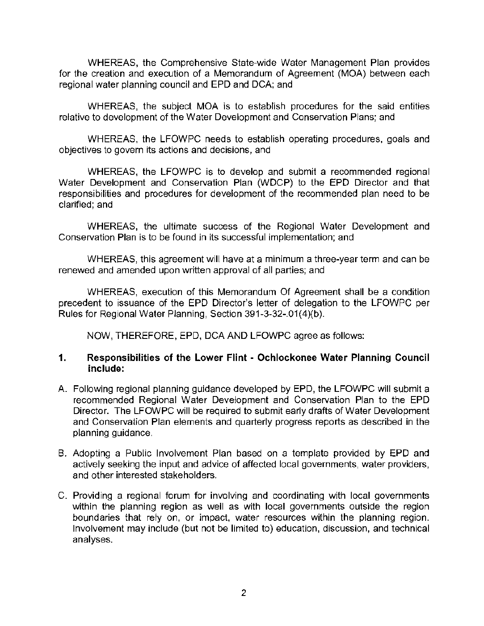WHEREAS, the Comprehensive State-wide Water Management Plan provides for the creation and execution of a Memorandum of Agreement (MOA) between each regional water planning council and EPD and DCA; and

WHEREAS, the subject **MOA** is to establish procedures for the said entities relative to development of the Water Development and Conservation Plans; and

WHEREAS, the LFOWPC needs to establish operating procedures, goals and **objectives to govern its actions and decisions, and** 

WHEREAS, the LFOWPC is to develop and submit a recommended regional Water Development and Conservation Plan (WDCP) to the EPD Director and that responsibilities and procedures for development of the recommended plan need to be clarified; and

WHEREAS, the ultimate success of the Regional Water Development and Conservation Plan is to be found in its successful implementation; and

WHEREAS, this agreement will have at a minimum a three-year term and can be **renewed and amended upon written approval of all parties; and** 

WHEREAS, execution of this Memorandum Of Agreement shall be a condition precedent to issuance of the EPD Director's letter of delegation to the LFOWPC per Rules for Regional Water Planning, Section 391-3-32-.01(4)(b).

NOW, THEREFORE, EPD, DCA AND LFOWPC agree as follows:

### **1. Responsibilities of the Lower Flint - Ochlockonee Water Planning Council include:**

- **A.** Following regional planning guidance developed by EPD, the LFOWPC will submit a **recommended Regional Water Development and Conservation Plan to the EPD**  Director. The LFOWPC will be required to submit early drafts of Water Development and Conservation Plan elements and quarterly progress reports as described in the planning guidance.
- B. Adopting a Public Involvement Plan based on a template provided by EPD and **actively seeking the input and advice of affected local governments, water providers, and other interested stakeholders.**
- **C. Providing a regional forum for involving and coordinating with local governments within the planning region as well as with local governments outside the region boundaries that rely on, or impact, water resources within the planning region.**  Involvement may include (but not be limited to) education, discussion, and technical analyses.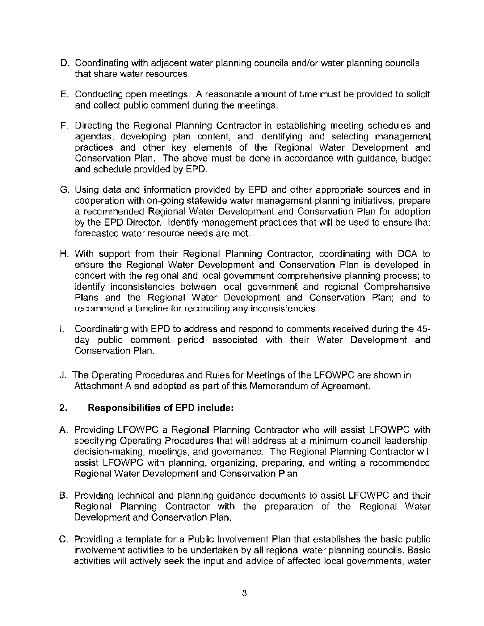- D. Coordinating with adjacent water planning councils and/or water planning councils that share water resources.
- E. Conducting open meetings. A reasonable amount of time must be provided to solicit and collect public comment during the meetings.
- F. Directing the Regional Planning Contractor in establishing meeting schedules and agendas, developing plan content, and identifying and selecting management practices and other key elements of the Regional Water Development and Conservation Plan. The above must be done in accordance with guidance, budget and schedule provided by EPD.
- G. Using data and information provided by EPD and other appropriate sources and in cooperation with on-going statewide water management planning initiatives, prepare a recommended Regional Water Development and Conservation Plan for adoption by the EPD Director. Identify management practices that will be used to ensure that forecasted water resource needs are met.
- H. With support from their Regional Planning Contractor, coordinating with DCA to ensure the Regional Water Development and Conservation Plan is developed in concert with the regional and local government comprehensive planning process; to identify inconsistencies between local government and regional Comprehensive Plans and the Regional Water Development and Conservation Plan; and to recommend a timeline for reconciling any inconsistencies.
- I. Coordinating with EPD to address and respond to comments received during the 45 day public comment period associated with their Water Development and Conservation Plan.
- J. The Operating Procedures and Rules for Meetings of the LFOWPC are shown in Attachment A and adopted as part of this Memorandum of Agreement.

# **2. Responsibilities of EPD include:**

- A. Providing LFOWPC a Regional Planning Contractor who will assist LFOWPC with specifying Operating Procedures that will address at a minimum council leadership, decision-making, meetings, and governance. The Regional Planning Contractor will assist LFOWPC with planning, organizing, preparing, and writing a recommended Regional Water Development and Conservation Plan.
- B. Providing technical and planning guidance documents to assist LFOWPC and their Regional Planning Contractor with the preparation of the Regional Water Development and Conservation Plan.
- C. Providing a template for a Public Involvement Plan that establishes the basic public involvement activities to be undertaken by all regional water planning councils. Basic activities will actively seek the input and advice of affected local governments, water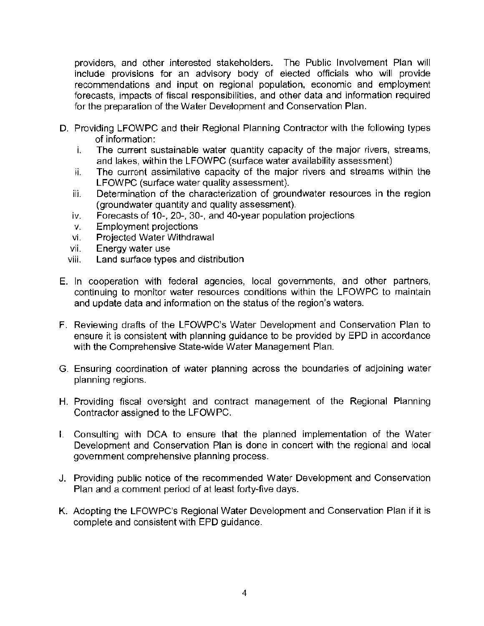providers, and other interested stakeholders. The Public Involvement Plan will **include provisions for an advisory body of elected officials who will provide recommendations and input on regional population, economic and employment forecasts, impacts of fiscal responsibilities, and other data and information required**  for the preparation of the Water Development and Conservation Plan.

- D. Providing LFOWPC and their Regional Planning Contractor with the following types **of information:** 
	- **i. The current sustainable water quantity capacity of the major rivers, streams,**  and lakes, within the LFOWPC (surface water availability assessment)
	- **ii. The current assimilative capacity of the major rivers and streams within the**  LFOWPC (surface water quality assessment).
	- **iii. Determination of the characterization of groundwater resources in the region**  (groundwater quantity and quality assessment).
	- iv. Forecasts of 10-, 20-, 30-, and 40-year population projections
	- v. Employment projections
	- vi. Projected Water Withdrawal
	- **vii. Energy water use**
	- viii. Land surface types and distribution
- E. In cooperation with federal agencies, local governments, and other partners, **continuing to monitor water resources conditions within the LFOWPC to maintain**  and update data and information on the status of the region's waters.
- F. Reviewing drafts of the LFOWPC's Water Development and Conservation Plan to ensure it is consistent with planning guidance to be provided by EPD in accordance with the Comprehensive State-wide Water Management Plan.
- **G. Ensuring coordination of water planning across the boundaries of adjoining water planning regions.**
- H. Providing fiscal oversight and contract management of the Regional Planning Contractor assigned to the LFOWPC.
- I. Consulting with DCA to ensure that the planned implementation of the Water **Development and Conservation Plan is done in concert with the regional and local government comprehensive planning process.**
- J. Providing public notice of the recommended Water Development and Conservation Plan and a comment period of at least forty-five days.
- K. Adopting the LFOWPC's Regional Water Development and Conservation Plan if it is complete and consistent with EPD guidance.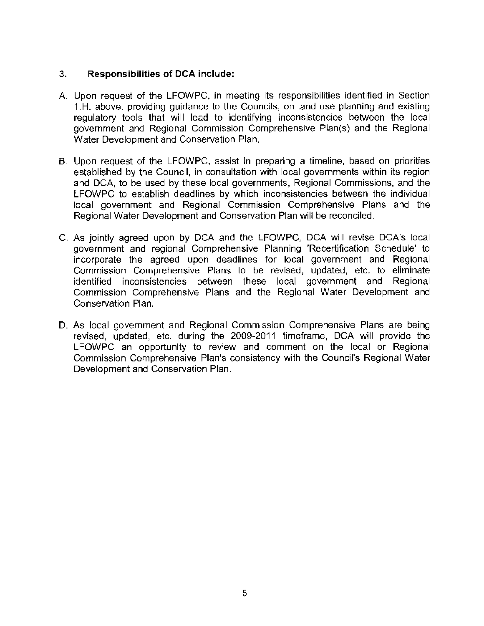## **3. Responsibilities of DCA include:**

- A Upon request of the LFOWPC, in meeting its responsibilities identified in Section 1.H. above, providing guidance to the Councils, on land use planning and existing regulatory tools that will lead to identifying inconsistencies between the local government and Regional Commission Comprehensive Plan(s) and the Regional Water Development and Conservation Plan.
- B. Upon request of the LFOWPC, assist in preparing a timeline, based on priorities established by the Council, in consultation with local governments within its region and DCA, to be used by these local governments, Regional Commissions, and the LFOWPC to establish deadlines by which inconsistencies between the individual local government and Regional Commission Comprehensive Plans and the Regional Water Development and Conservation Plan will be reconciled.
- C. As jointly agreed upon by DCA and the LFOWPC, DCA will revise DCA's local government and regional Comprehensive Planning 'Recertification Schedule' to incorporate the agreed upon deadlines for local government and Regional Commission Comprehensive Plans to be revised, updated, etc. to eliminate identified inconsistencies between these local government and Regional Commission Comprehensive Plans and the Regional Water Development and Conservation Plan.
- D. As local government and Regional Commission Comprehensive Plans are being revised, updated, etc. during the 2009-2011 timeframe, DCA will provide the LFOWPC an opportunity to review and comment on the local or Regional Commission Comprehensive Plan's consistency with the Council's Regional Water Development and Conservation Plan.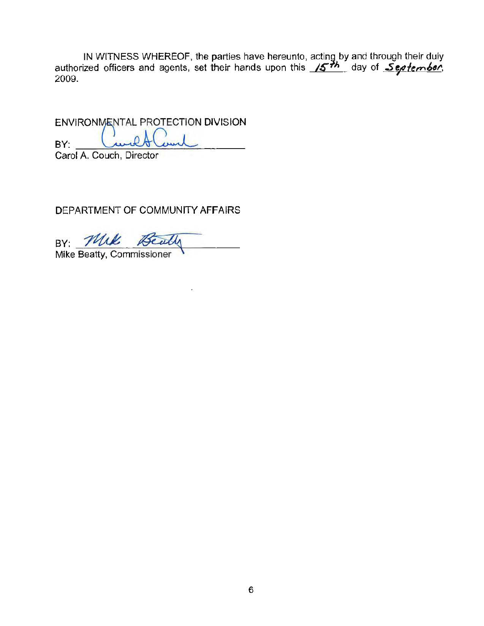IN WITNESS WHEREOF, the parties have hereunto, acting by and through their duly authorized officers and agents, set their hands upon this *J5<sup>+h</sup>, day of <u>September</u>,*<br>2009.

ENVIRONMENTAL PROTECTION DIVISION ENVIRONMENTAL PROTECTION DIVIS<br>BY: <u>Carol A. Couch, Director</u> Carol A. Couch, Director

DEPARTMENT OF COMMUNITY AFFAIRS

BY: Mik Beat

Mike Beatty, Commissioner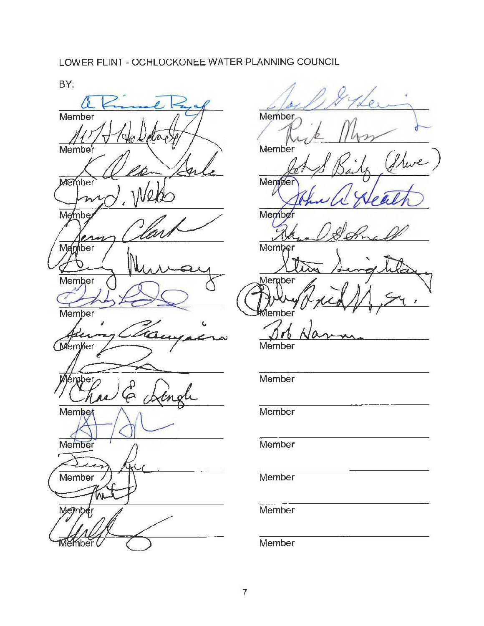## LOWER FLINT-OCHLOCKONEE WATER PLANNING COUNCIL





Member **Member** fleve Member ı Memby Member ⊻lemaber ıber Member

**Member** 

**Member** 

**Member** 

**Member** 

Member

**Member**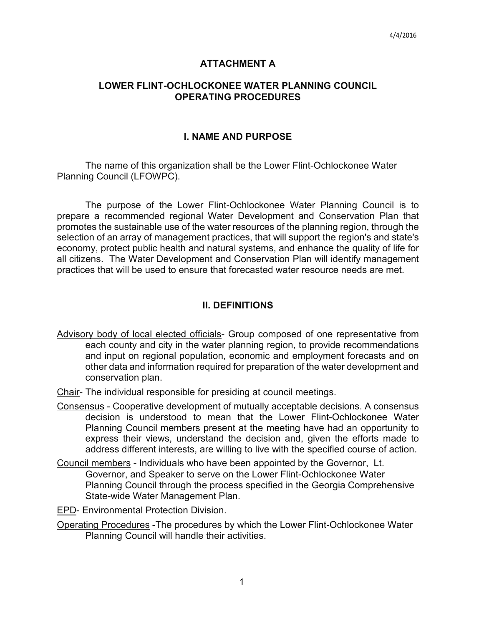#### **ATTACHMENT A**

#### **LOWER FLINT-OCHLOCKONEE WATER PLANNING COUNCIL OPERATING PROCEDURES**

### **I. NAME AND PURPOSE**

The name of this organization shall be the Lower Flint-Ochlockonee Water Planning Council (LFOWPC).

The purpose of the Lower Flint-Ochlockonee Water Planning Council is to prepare a recommended regional Water Development and Conservation Plan that promotes the sustainable use of the water resources of the planning region, through the selection of an array of management practices, that will support the region's and state's economy, protect public health and natural systems, and enhance the quality of life for all citizens. The Water Development and Conservation Plan will identify management practices that will be used to ensure that forecasted water resource needs are met.

### **II. DEFINITIONS**

- Advisory body of local elected officials- Group composed of one representative from each county and city in the water planning region, to provide recommendations and input on regional population, economic and employment forecasts and on other data and information required for preparation of the water development and conservation plan.
- Chair- The individual responsible for presiding at council meetings.
- Consensus Cooperative development of mutually acceptable decisions. A consensus decision is understood to mean that the Lower Flint-Ochlockonee Water Planning Council members present at the meeting have had an opportunity to express their views, understand the decision and, given the efforts made to address different interests, are willing to live with the specified course of action.
- Council members Individuals who have been appointed by the Governor, Lt. Governor, and Speaker to serve on the Lower Flint-Ochlockonee Water Planning Council through the process specified in the Georgia Comprehensive State-wide Water Management Plan.
- EPD- Environmental Protection Division.
- Operating Procedures -The procedures by which the Lower Flint-Ochlockonee Water Planning Council will handle their activities.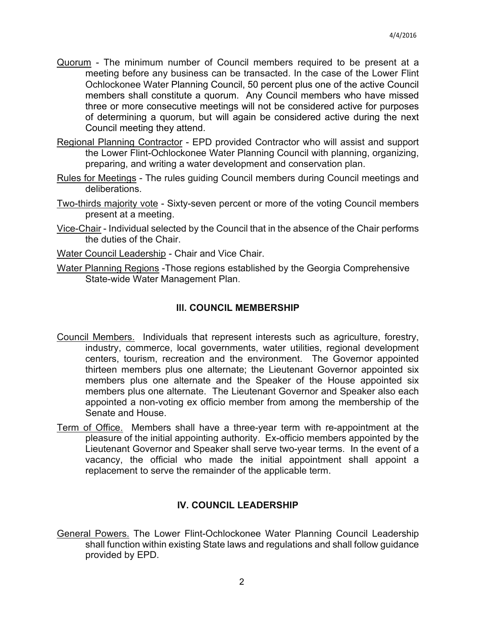- Quorum The minimum number of Council members required to be present at a meeting before any business can be transacted. In the case of the Lower Flint Ochlockonee Water Planning Council, 50 percent plus one of the active Council members shall constitute a quorum. Any Council members who have missed three or more consecutive meetings will not be considered active for purposes of determining a quorum, but will again be considered active during the next Council meeting they attend.
- Regional Planning Contractor EPD provided Contractor who will assist and support the Lower Flint-Ochlockonee Water Planning Council with planning, organizing, preparing, and writing a water development and conservation plan.
- Rules for Meetings The rules guiding Council members during Council meetings and deliberations.
- Two-thirds majority vote Sixty-seven percent or more of the voting Council members present at a meeting.
- Vice-Chair Individual selected by the Council that in the absence of the Chair performs the duties of the Chair.
- Water Council Leadership Chair and Vice Chair.
- Water Planning Regions -Those regions established by the Georgia Comprehensive State-wide Water Management Plan.

### **Ill. COUNCIL MEMBERSHIP**

- Council Members. Individuals that represent interests such as agriculture, forestry, industry, commerce, local governments, water utilities, regional development centers, tourism, recreation and the environment. The Governor appointed thirteen members plus one alternate; the Lieutenant Governor appointed six members plus one alternate and the Speaker of the House appointed six members plus one alternate. The Lieutenant Governor and Speaker also each appointed a non-voting ex officio member from among the membership of the Senate and House.
- Term of Office. Members shall have a three-year term with re-appointment at the pleasure of the initial appointing authority. Ex-officio members appointed by the Lieutenant Governor and Speaker shall serve two-year terms. In the event of a vacancy, the official who made the initial appointment shall appoint a replacement to serve the remainder of the applicable term.

## **IV. COUNCIL LEADERSHIP**

General Powers. The Lower Flint-Ochlockonee Water Planning Council Leadership shall function within existing State laws and regulations and shall follow guidance provided by EPD.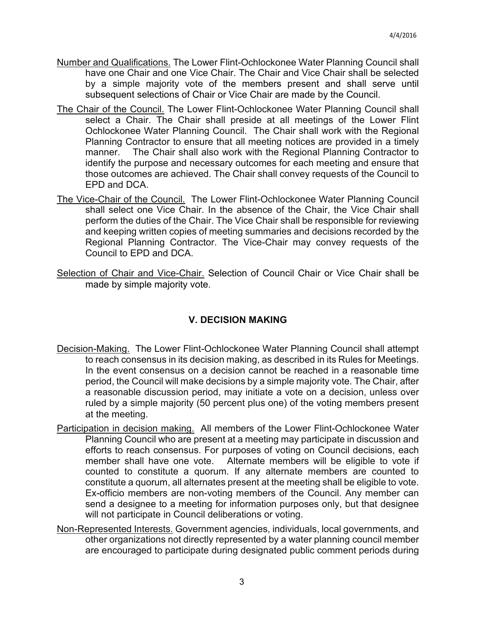- Number and Qualifications. The Lower Flint-Ochlockonee Water Planning Council shall have one Chair and one Vice Chair. The Chair and Vice Chair shall be selected by a simple majority vote of the members present and shall serve until subsequent selections of Chair or Vice Chair are made by the Council.
- The Chair of the Council. The Lower Flint-Ochlockonee Water Planning Council shall select a Chair. The Chair shall preside at all meetings of the Lower Flint Ochlockonee Water Planning Council. The Chair shall work with the Regional Planning Contractor to ensure that all meeting notices are provided in a timely manner. The Chair shall also work with the Regional Planning Contractor to identify the purpose and necessary outcomes for each meeting and ensure that those outcomes are achieved. The Chair shall convey requests of the Council to EPD and DCA.
- The Vice-Chair of the Council. The Lower Flint-Ochlockonee Water Planning Council shall select one Vice Chair. In the absence of the Chair, the Vice Chair shall perform the duties of the Chair. The Vice Chair shall be responsible for reviewing and keeping written copies of meeting summaries and decisions recorded by the Regional Planning Contractor. The Vice-Chair may convey requests of the Council to EPD and DCA.
- Selection of Chair and Vice-Chair. Selection of Council Chair or Vice Chair shall be made by simple majority vote.

# **V. DECISION MAKING**

- Decision-Making. The Lower Flint-Ochlockonee Water Planning Council shall attempt to reach consensus in its decision making, as described in its Rules for Meetings. In the event consensus on a decision cannot be reached in a reasonable time period, the Council will make decisions by a simple majority vote. The Chair, after a reasonable discussion period, may initiate a vote on a decision, unless over ruled by a simple majority (50 percent plus one) of the voting members present at the meeting.
- Participation in decision making. All members of the Lower Flint-Ochlockonee Water Planning Council who are present at a meeting may participate in discussion and efforts to reach consensus. For purposes of voting on Council decisions, each member shall have one vote. Alternate members will be eligible to vote if counted to constitute a quorum. If any alternate members are counted to constitute a quorum, all alternates present at the meeting shall be eligible to vote. Ex-officio members are non-voting members of the Council. Any member can send a designee to a meeting for information purposes only, but that designee will not participate in Council deliberations or voting.
- Non-Represented Interests. Government agencies, individuals, local governments, and other organizations not directly represented by a water planning council member are encouraged to participate during designated public comment periods during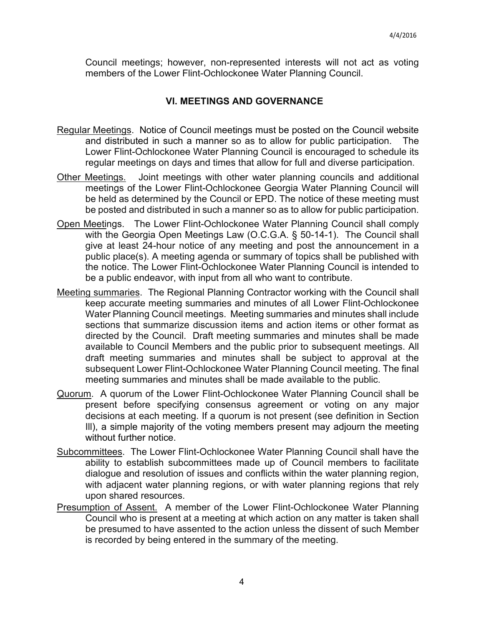Council meetings; however, non-represented interests will not act as voting members of the Lower Flint-Ochlockonee Water Planning Council.

## **VI. MEETINGS AND GOVERNANCE**

- Regular Meetings. Notice of Council meetings must be posted on the Council website and distributed in such a manner so as to allow for public participation. The Lower Flint-Ochlockonee Water Planning Council is encouraged to schedule its regular meetings on days and times that allow for full and diverse participation.
- Other Meetings. Joint meetings with other water planning councils and additional meetings of the Lower Flint-Ochlockonee Georgia Water Planning Council will be held as determined by the Council or EPD. The notice of these meeting must be posted and distributed in such a manner so as to allow for public participation.
- Open Meetings. The Lower Flint-Ochlockonee Water Planning Council shall comply with the Georgia Open Meetings Law (O.C.G.A. § 50-14-1). The Council shall give at least 24-hour notice of any meeting and post the announcement in a public place(s). A meeting agenda or summary of topics shall be published with the notice. The Lower Flint-Ochlockonee Water Planning Council is intended to be a public endeavor, with input from all who want to contribute.
- Meeting summaries. The Regional Planning Contractor working with the Council shall keep accurate meeting summaries and minutes of all Lower Flint-Ochlockonee Water Planning Council meetings. Meeting summaries and minutes shall include sections that summarize discussion items and action items or other format as directed by the Council. Draft meeting summaries and minutes shall be made available to Council Members and the public prior to subsequent meetings. All draft meeting summaries and minutes shall be subject to approval at the subsequent Lower Flint-Ochlockonee Water Planning Council meeting. The final meeting summaries and minutes shall be made available to the public.
- Quorum. A quorum of the Lower Flint-Ochlockonee Water Planning Council shall be present before specifying consensus agreement or voting on any major decisions at each meeting. If a quorum is not present (see definition in Section Ill), a simple majority of the voting members present may adjourn the meeting without further notice.
- Subcommittees. The Lower Flint-Ochlockonee Water Planning Council shall have the ability to establish subcommittees made up of Council members to facilitate dialogue and resolution of issues and conflicts within the water planning region, with adjacent water planning regions, or with water planning regions that rely upon shared resources.
- Presumption of Assent. A member of the Lower Flint-Ochlockonee Water Planning Council who is present at a meeting at which action on any matter is taken shall be presumed to have assented to the action unless the dissent of such Member is recorded by being entered in the summary of the meeting.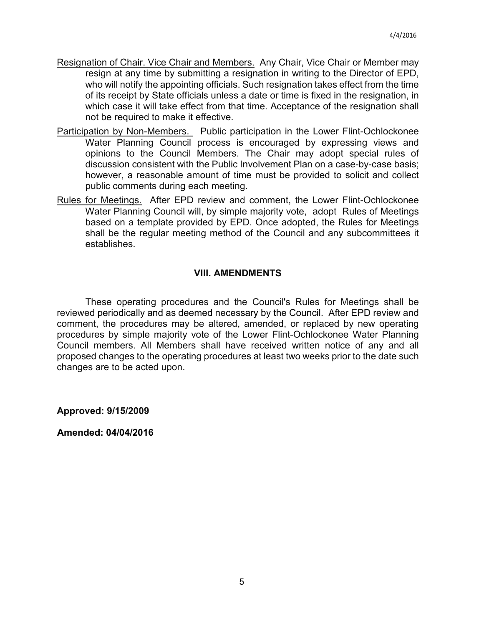- Resignation of Chair. Vice Chair and Members. Any Chair, Vice Chair or Member may resign at any time by submitting a resignation in writing to the Director of EPD, who will notify the appointing officials. Such resignation takes effect from the time of its receipt by State officials unless a date or time is fixed in the resignation, in which case it will take effect from that time. Acceptance of the resignation shall not be required to make it effective.
- Participation by Non-Members. Public participation in the Lower Flint-Ochlockonee Water Planning Council process is encouraged by expressing views and opinions to the Council Members. The Chair may adopt special rules of discussion consistent with the Public Involvement Plan on a case-by-case basis; however, a reasonable amount of time must be provided to solicit and collect public comments during each meeting.
- Rules for Meetings. After EPD review and comment, the Lower Flint-Ochlockonee Water Planning Council will, by simple majority vote, adopt Rules of Meetings based on a template provided by EPD. Once adopted, the Rules for Meetings shall be the regular meeting method of the Council and any subcommittees it establishes.

## **VIII. AMENDMENTS**

These operating procedures and the Council's Rules for Meetings shall be reviewed periodically and as deemed necessary by the Council. After EPD review and comment, the procedures may be altered, amended, or replaced by new operating procedures by simple majority vote of the Lower Flint-Ochlockonee Water Planning Council members. All Members shall have received written notice of any and all proposed changes to the operating procedures at least two weeks prior to the date such changes are to be acted upon.

**Approved: 9/15/2009**

**Amended: 04/04/2016**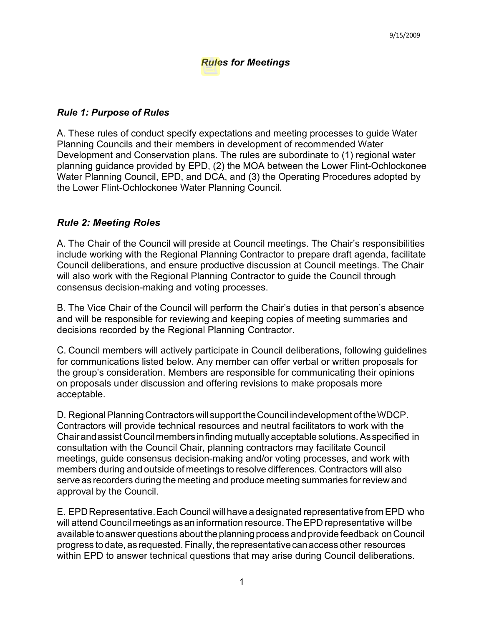## *Rules for Meetings*

### *Rule 1: Purpose of Rules*

A. These rules of conduct specify expectations and meeting processes to guide Water Planning Councils and their members in development of recommended Water Development and Conservation plans. The rules are subordinate to (1) regional water planning guidance provided by EPD, (2) the MOA between the Lower Flint-Ochlockonee Water Planning Council, EPD, and DCA, and (3) the Operating Procedures adopted by the Lower Flint-Ochlockonee Water Planning Council.

### *Rule 2: Meeting Roles*

A. The Chair of the Council will preside at Council meetings. The Chair's responsibilities include working with the Regional Planning Contractor to prepare draft agenda, facilitate Council deliberations, and ensure productive discussion at Council meetings. The Chair will also work with the Regional Planning Contractor to guide the Council through consensus decision-making and voting processes.

B. The Vice Chair of the Council will perform the Chair's duties in that person's absence and will be responsible for reviewing and keeping copies of meeting summaries and decisions recorded by the Regional Planning Contractor.

C. Council members will actively participate in Council deliberations, following guidelines for communications listed below. Any member can offer verbal or written proposals for the group's consideration. Members are responsible for communicating their opinions on proposals under discussion and offering revisions to make proposals more acceptable.

D. Regional Planning Contractors will support the Council indevelopment of the WDCP. Contractors will provide technical resources and neutral facilitators to work with the Chairandassist Councilmembers infindingmutually acceptable solutions.Asspecified in consultation with the Council Chair, planning contractors may facilitate Council meetings, guide consensus decision-making and/or voting processes, and work with members during and outside of meetings to resolve differences. Contractors will also serve as recorders during the meeting and produce meeting summaries for review and approval by the Council.

E. EPDRepresentative.EachCouncil willhave adesignated representativefromEPD who will attend Council meetings as an information resource. The EPD representative will be available to answer questions about the planning process and provide feedback on Council progress to date, asrequested. Finally, the representativecanaccess other resources within EPD to answer technical questions that may arise during Council deliberations.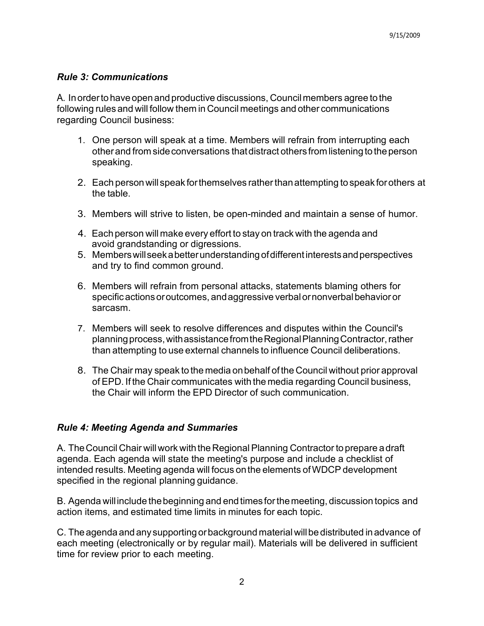### *Rule 3: Communications*

A. Inordertohaveopenand productive discussions, Councilmembers agree tothe following rules and will follow them in Council meetings and other communications regarding Council business:

- 1. One person will speak at a time. Members will refrain from interrupting each otherand from sideconversations thatdistract others from listeningtotheperson speaking.
- 2. Each person will speak for themselves rather than attempting to speak for others at the table.
- 3. Members will strive to listen, be open-minded and maintain a sense of humor.
- 4. Each person will make every effort to stay on track with the agenda and avoid grandstanding or digressions.
- 5. Memberswillseekabetterunderstanding ofdifferentinterestsandperspectives and try to find common ground.
- 6. Members will refrain from personal attacks, statements blaming others for specific actions or outcomes, and aggressive verbal or nonverbal behavior or sarcasm.
- 7. Members will seek to resolve differences and disputes within the Council's planningprocess,withassistancefromtheRegionalPlanningContractor,rather than attempting to use external channels to influence Council deliberations.
- 8. The Chair may speak to the media onbehalf of the Council without prior approval of EPD. If the Chair communicates with the media regarding Council business, the Chair will inform the EPD Director of such communication.

## *Rule 4: Meeting Agenda and Summaries*

A. The Council Chair will work with the Regional Planning Contractor to prepare a draft agenda. Each agenda will state the meeting's purpose and include a checklist of intended results. Meeting agenda will focus onthe elements ofWDCP development specified in the regional planning guidance.

B. Agenda will include thebeginning and end times forthemeeting, discussion topics and action items, and estimated time limits in minutes for each topic.

C. The agenda and any supporting or background material will be distributed in advance of each meeting (electronically or by regular mail). Materials will be delivered in sufficient time for review prior to each meeting.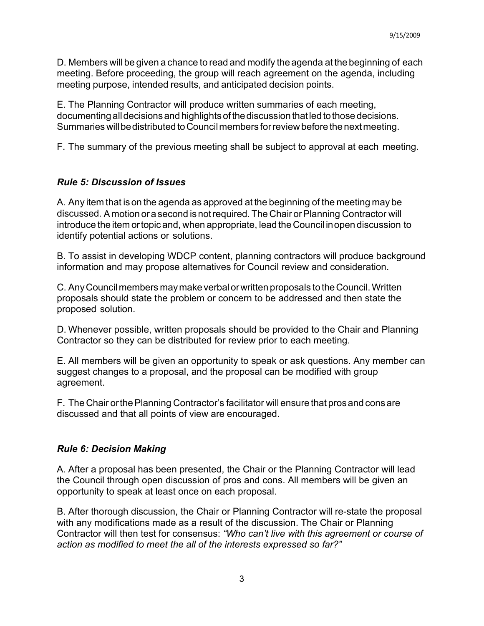D. Members will be given a chance to read and modify the agenda at the beginning of each meeting. Before proceeding, the group will reach agreement on the agenda, including meeting purpose, intended results, and anticipated decision points.

E. The Planning Contractor will produce written summaries of each meeting, documenting all decisions and highlights of the discussion that led to those decisions. Summaries will be distributed to Council members for review before the next meeting.

F. The summary of the previous meeting shall be subject to approval at each meeting.

## *Rule 5: Discussion of Issues*

A. Any item that ison the agenda as approved at the beginning of the meeting may be discussed. A motion or a second is not required. The Chair or Planning Contractor will introduce the item ortopic and, when appropriate, lead theCouncil inopen discussion to identify potential actions or solutions.

B. To assist in developing WDCP content, planning contractors will produce background information and may propose alternatives for Council review and consideration.

C. AnyCouncilmembers maymake verbalorwritten proposals totheCouncil.Written proposals should state the problem or concern to be addressed and then state the proposed solution.

D. Whenever possible, written proposals should be provided to the Chair and Planning Contractor so they can be distributed for review prior to each meeting.

E. All members will be given an opportunity to speak or ask questions. Any member can suggest changes to a proposal, and the proposal can be modified with group agreement.

F. The Chair or the Planning Contractor's facilitator will ensure that pros and cons are discussed and that all points of view are encouraged.

## *Rule 6: Decision Making*

A. After a proposal has been presented, the Chair or the Planning Contractor will lead the Council through open discussion of pros and cons. All members will be given an opportunity to speak at least once on each proposal.

B. After thorough discussion, the Chair or Planning Contractor will re-state the proposal with any modifications made as a result of the discussion. The Chair or Planning Contractor will then test for consensus: *"Who can't live with this agreement or course of action as modified to meet the all of the interests expressed so far?"*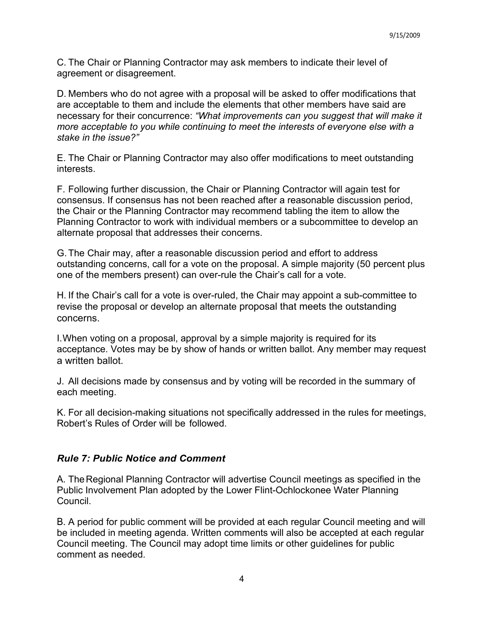C. The Chair or Planning Contractor may ask members to indicate their level of agreement or disagreement.

D. Members who do not agree with a proposal will be asked to offer modifications that are acceptable to them and include the elements that other members have said are necessary for their concurrence: *"What improvements can you suggest that will make it more acceptable to you while continuing to meet the interests of everyone else with a stake in the issue?"*

E. The Chair or Planning Contractor may also offer modifications to meet outstanding interests.

F. Following further discussion, the Chair or Planning Contractor will again test for consensus. If consensus has not been reached after a reasonable discussion period, the Chair or the Planning Contractor may recommend tabling the item to allow the Planning Contractor to work with individual members or a subcommittee to develop an alternate proposal that addresses their concerns.

G.The Chair may, after a reasonable discussion period and effort to address outstanding concerns, call for a vote on the proposal. A simple majority (50 percent plus one of the members present) can over-rule the Chair's call for a vote.

H. If the Chair's call for a vote is over-ruled, the Chair may appoint a sub-committee to revise the proposal or develop an alternate proposal that meets the outstanding concerns.

I.When voting on a proposal, approval by a simple majority is required for its acceptance. Votes may be by show of hands or written ballot. Any member may request a written ballot.

J. All decisions made by consensus and by voting will be recorded in the summary of each meeting.

K. For all decision-making situations not specifically addressed in the rules for meetings, Robert's Rules of Order will be followed.

## *Rule 7: Public Notice and Comment*

A. TheRegional Planning Contractor will advertise Council meetings as specified in the Public Involvement Plan adopted by the Lower Flint-Ochlockonee Water Planning Council.

B. A period for public comment will be provided at each regular Council meeting and will be included in meeting agenda. Written comments will also be accepted at each regular Council meeting. The Council may adopt time limits or other guidelines for public comment as needed.